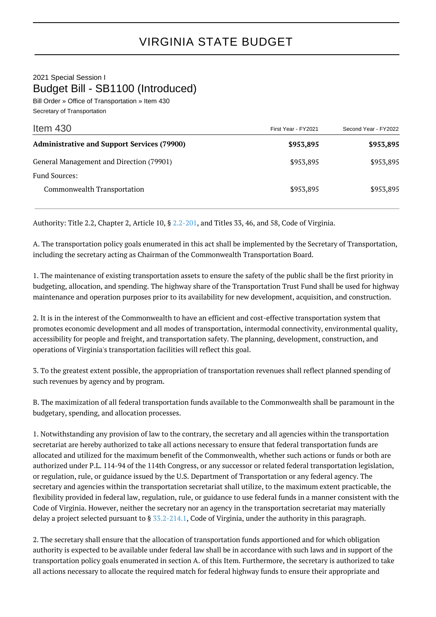2021 Special Session I Budget Bill - SB1100 (Introduced)

Bill Order » Office of Transportation » Item 430 Secretary of Transportation

| Item $430$                                         | First Year - FY2021 | Second Year - FY2022 |
|----------------------------------------------------|---------------------|----------------------|
| <b>Administrative and Support Services (79900)</b> | \$953,895           | \$953,895            |
| General Management and Direction (79901)           | \$953,895           | \$953,895            |
| Fund Sources:                                      |                     |                      |
| Commonwealth Transportation                        | \$953,895           | \$953,895            |

Authority: Title 2.2, Chapter 2, Article 10, § [2.2-201,](http://law.lis.virginia.gov/vacode/2.2-201/) and Titles 33, 46, and 58, Code of Virginia.

A. The transportation policy goals enumerated in this act shall be implemented by the Secretary of Transportation, including the secretary acting as Chairman of the Commonwealth Transportation Board.

1. The maintenance of existing transportation assets to ensure the safety of the public shall be the first priority in budgeting, allocation, and spending. The highway share of the Transportation Trust Fund shall be used for highway maintenance and operation purposes prior to its availability for new development, acquisition, and construction.

2. It is in the interest of the Commonwealth to have an efficient and cost-effective transportation system that promotes economic development and all modes of transportation, intermodal connectivity, environmental quality, accessibility for people and freight, and transportation safety. The planning, development, construction, and operations of Virginia's transportation facilities will reflect this goal.

3. To the greatest extent possible, the appropriation of transportation revenues shall reflect planned spending of such revenues by agency and by program.

B. The maximization of all federal transportation funds available to the Commonwealth shall be paramount in the budgetary, spending, and allocation processes.

1. Notwithstanding any provision of law to the contrary, the secretary and all agencies within the transportation secretariat are hereby authorized to take all actions necessary to ensure that federal transportation funds are allocated and utilized for the maximum benefit of the Commonwealth, whether such actions or funds or both are authorized under P.L. 114-94 of the 114th Congress, or any successor or related federal transportation legislation, or regulation, rule, or guidance issued by the U.S. Department of Transportation or any federal agency. The secretary and agencies within the transportation secretariat shall utilize, to the maximum extent practicable, the flexibility provided in federal law, regulation, rule, or guidance to use federal funds in a manner consistent with the Code of Virginia. However, neither the secretary nor an agency in the transportation secretariat may materially delay a project selected pursuant to § [33.2-214.1,](http://law.lis.virginia.gov/vacode/33.2-214.1/) Code of Virginia, under the authority in this paragraph.

2. The secretary shall ensure that the allocation of transportation funds apportioned and for which obligation authority is expected to be available under federal law shall be in accordance with such laws and in support of the transportation policy goals enumerated in section A. of this Item. Furthermore, the secretary is authorized to take all actions necessary to allocate the required match for federal highway funds to ensure their appropriate and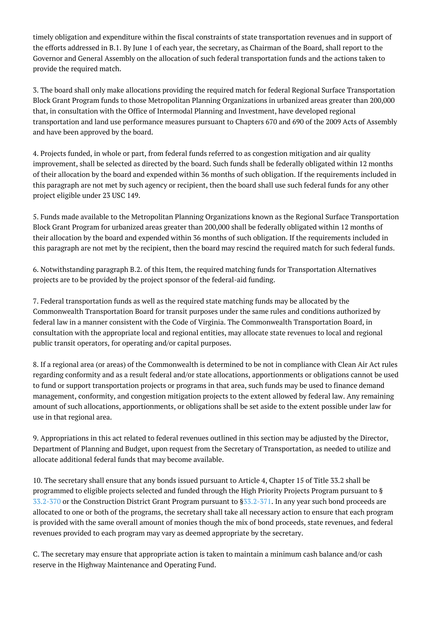timely obligation and expenditure within the fiscal constraints of state transportation revenues and in support of the efforts addressed in B.1. By June 1 of each year, the secretary, as Chairman of the Board, shall report to the Governor and General Assembly on the allocation of such federal transportation funds and the actions taken to provide the required match.

3. The board shall only make allocations providing the required match for federal Regional Surface Transportation Block Grant Program funds to those Metropolitan Planning Organizations in urbanized areas greater than 200,000 that, in consultation with the Office of Intermodal Planning and Investment, have developed regional transportation and land use performance measures pursuant to Chapters 670 and 690 of the 2009 Acts of Assembly and have been approved by the board.

4. Projects funded, in whole or part, from federal funds referred to as congestion mitigation and air quality improvement, shall be selected as directed by the board. Such funds shall be federally obligated within 12 months of their allocation by the board and expended within 36 months of such obligation. If the requirements included in this paragraph are not met by such agency or recipient, then the board shall use such federal funds for any other project eligible under 23 USC 149.

5. Funds made available to the Metropolitan Planning Organizations known as the Regional Surface Transportation Block Grant Program for urbanized areas greater than 200,000 shall be federally obligated within 12 months of their allocation by the board and expended within 36 months of such obligation. If the requirements included in this paragraph are not met by the recipient, then the board may rescind the required match for such federal funds.

6. Notwithstanding paragraph B.2. of this Item, the required matching funds for Transportation Alternatives projects are to be provided by the project sponsor of the federal-aid funding.

7. Federal transportation funds as well as the required state matching funds may be allocated by the Commonwealth Transportation Board for transit purposes under the same rules and conditions authorized by federal law in a manner consistent with the Code of Virginia. The Commonwealth Transportation Board, in consultation with the appropriate local and regional entities, may allocate state revenues to local and regional public transit operators, for operating and/or capital purposes.

8. If a regional area (or areas) of the Commonwealth is determined to be not in compliance with Clean Air Act rules regarding conformity and as a result federal and/or state allocations, apportionments or obligations cannot be used to fund or support transportation projects or programs in that area, such funds may be used to finance demand management, conformity, and congestion mitigation projects to the extent allowed by federal law. Any remaining amount of such allocations, apportionments, or obligations shall be set aside to the extent possible under law for use in that regional area.

9. Appropriations in this act related to federal revenues outlined in this section may be adjusted by the Director, Department of Planning and Budget, upon request from the Secretary of Transportation, as needed to utilize and allocate additional federal funds that may become available.

10. The secretary shall ensure that any bonds issued pursuant to Article 4, Chapter 15 of Title 33.2 shall be programmed to eligible projects selected and funded through the High Priority Projects Program pursuant to § [33.2-370](http://law.lis.virginia.gov/vacode/33.2-370/) or the Construction District Grant Program pursuant to [§33.2-371](http://law.lis.virginia.gov/vacode/33.2-371/). In any year such bond proceeds are allocated to one or both of the programs, the secretary shall take all necessary action to ensure that each program is provided with the same overall amount of monies though the mix of bond proceeds, state revenues, and federal revenues provided to each program may vary as deemed appropriate by the secretary.

C. The secretary may ensure that appropriate action is taken to maintain a minimum cash balance and/or cash reserve in the Highway Maintenance and Operating Fund.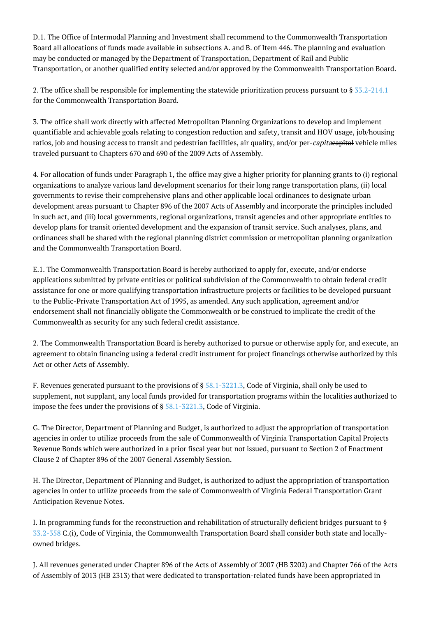D.1. The Office of Intermodal Planning and Investment shall recommend to the Commonwealth Transportation Board all allocations of funds made available in subsections A. and B. of Item 446. The planning and evaluation may be conducted or managed by the Department of Transportation, Department of Rail and Public Transportation, or another qualified entity selected and/or approved by the Commonwealth Transportation Board.

2. The office shall be responsible for implementing the statewide prioritization process pursuant to § [33.2-214.1](http://law.lis.virginia.gov/vacode/33.2-214.1/) for the Commonwealth Transportation Board.

3. The office shall work directly with affected Metropolitan Planning Organizations to develop and implement quantifiable and achievable goals relating to congestion reduction and safety, transit and HOV usage, job/housing ratios, job and housing access to transit and pedestrian facilities, air quality, and/or per-capitacapital vehicle miles traveled pursuant to Chapters 670 and 690 of the 2009 Acts of Assembly.

4. For allocation of funds under Paragraph 1, the office may give a higher priority for planning grants to (i) regional organizations to analyze various land development scenarios for their long range transportation plans, (ii) local governments to revise their comprehensive plans and other applicable local ordinances to designate urban development areas pursuant to Chapter 896 of the 2007 Acts of Assembly and incorporate the principles included in such act, and (iii) local governments, regional organizations, transit agencies and other appropriate entities to develop plans for transit oriented development and the expansion of transit service. Such analyses, plans, and ordinances shall be shared with the regional planning district commission or metropolitan planning organization and the Commonwealth Transportation Board.

E.1. The Commonwealth Transportation Board is hereby authorized to apply for, execute, and/or endorse applications submitted by private entities or political subdivision of the Commonwealth to obtain federal credit assistance for one or more qualifying transportation infrastructure projects or facilities to be developed pursuant to the Public-Private Transportation Act of 1995, as amended. Any such application, agreement and/or endorsement shall not financially obligate the Commonwealth or be construed to implicate the credit of the Commonwealth as security for any such federal credit assistance.

2. The Commonwealth Transportation Board is hereby authorized to pursue or otherwise apply for, and execute, an agreement to obtain financing using a federal credit instrument for project financings otherwise authorized by this Act or other Acts of Assembly.

F. Revenues generated pursuant to the provisions of § [58.1-3221.3,](http://law.lis.virginia.gov/vacode/58.1-3221.3/) Code of Virginia, shall only be used to supplement, not supplant, any local funds provided for transportation programs within the localities authorized to impose the fees under the provisions of § [58.1-3221.3,](http://law.lis.virginia.gov/vacode/58.1-3221.3/) Code of Virginia.

G. The Director, Department of Planning and Budget, is authorized to adjust the appropriation of transportation agencies in order to utilize proceeds from the sale of Commonwealth of Virginia Transportation Capital Projects Revenue Bonds which were authorized in a prior fiscal year but not issued, pursuant to Section 2 of Enactment Clause 2 of Chapter 896 of the 2007 General Assembly Session.

H. The Director, Department of Planning and Budget, is authorized to adjust the appropriation of transportation agencies in order to utilize proceeds from the sale of Commonwealth of Virginia Federal Transportation Grant Anticipation Revenue Notes.

I. In programming funds for the reconstruction and rehabilitation of structurally deficient bridges pursuant to § [33.2-358](http://law.lis.virginia.gov/vacode/33.2-358/) C.(i), Code of Virginia, the Commonwealth Transportation Board shall consider both state and locallyowned bridges.

J. All revenues generated under Chapter 896 of the Acts of Assembly of 2007 (HB 3202) and Chapter 766 of the Acts of Assembly of 2013 (HB 2313) that were dedicated to transportation-related funds have been appropriated in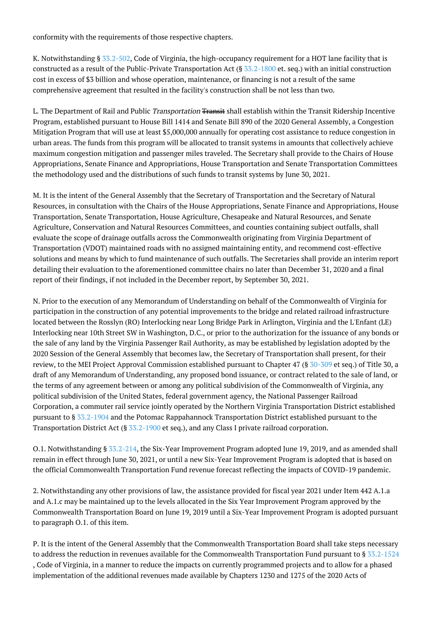conformity with the requirements of those respective chapters.

K. Notwithstanding § [33.2-502,](http://law.lis.virginia.gov/vacode/33.2-502/) Code of Virginia, the high-occupancy requirement for a HOT lane facility that is constructed as a result of the Public-Private Transportation Act (§ [33.2-1800](http://law.lis.virginia.gov/vacode/33.2-1800/) et. seq.) with an initial construction cost in excess of \$3 billion and whose operation, maintenance, or financing is not a result of the same comprehensive agreement that resulted in the facility's construction shall be not less than two.

L. The Department of Rail and Public Transportation Transit shall establish within the Transit Ridership Incentive Program, established pursuant to House Bill 1414 and Senate Bill 890 of the 2020 General Assembly, a Congestion Mitigation Program that will use at least \$5,000,000 annually for operating cost assistance to reduce congestion in urban areas. The funds from this program will be allocated to transit systems in amounts that collectively achieve maximum congestion mitigation and passenger miles traveled. The Secretary shall provide to the Chairs of House Appropriations, Senate Finance and Appropriations, House Transportation and Senate Transportation Committees the methodology used and the distributions of such funds to transit systems by June 30, 2021.

M. It is the intent of the General Assembly that the Secretary of Transportation and the Secretary of Natural Resources, in consultation with the Chairs of the House Appropriations, Senate Finance and Appropriations, House Transportation, Senate Transportation, House Agriculture, Chesapeake and Natural Resources, and Senate Agriculture, Conservation and Natural Resources Committees, and counties containing subject outfalls, shall evaluate the scope of drainage outfalls across the Commonwealth originating from Virginia Department of Transportation (VDOT) maintained roads with no assigned maintaining entity, and recommend cost-effective solutions and means by which to fund maintenance of such outfalls. The Secretaries shall provide an interim report detailing their evaluation to the aforementioned committee chairs no later than December 31, 2020 and a final report of their findings, if not included in the December report, by September 30, 2021.

N. Prior to the execution of any Memorandum of Understanding on behalf of the Commonwealth of Virginia for participation in the construction of any potential improvements to the bridge and related railroad infrastructure located between the Rosslyn (RO) Interlocking near Long Bridge Park in Arlington, Virginia and the L'Enfant (LE) Interlocking near 10th Street SW in Washington, D.C., or prior to the authorization for the issuance of any bonds or the sale of any land by the Virginia Passenger Rail Authority, as may be established by legislation adopted by the 2020 Session of the General Assembly that becomes law, the Secretary of Transportation shall present, for their review, to the MEI Project Approval Commission established pursuant to Chapter 47 (§ [30-309](http://law.lis.virginia.gov/vacode/30-309/) et seq.) of Title 30, a draft of any Memorandum of Understanding, any proposed bond issuance, or contract related to the sale of land, or the terms of any agreement between or among any political subdivision of the Commonwealth of Virginia, any political subdivision of the United States, federal government agency, the National Passenger Railroad Corporation, a commuter rail service jointly operated by the Northern Virginia Transportation District established pursuant to § [33.2-1904](http://law.lis.virginia.gov/vacode/33.2-1904/) and the Potomac Rappahannock Transportation District established pursuant to the Transportation District Act (§ [33.2-1900](http://law.lis.virginia.gov/vacode/33.2-1900/) et seq.), and any Class I private railroad corporation.

O.1. Notwithstanding § [33.2-214](http://law.lis.virginia.gov/vacode/33.2-214/), the Six-Year Improvement Program adopted June 19, 2019, and as amended shall remain in effect through June 30, 2021, or until a new Six-Year Improvement Program is adopted that is based on the official Commonwealth Transportation Fund revenue forecast reflecting the impacts of COVID-19 pandemic.

2. Notwithstanding any other provisions of law, the assistance provided for fiscal year 2021 under Item 442 A.1.a and A.1.c may be maintained up to the levels allocated in the Six Year Improvement Program approved by the Commonwealth Transportation Board on June 19, 2019 until a Six-Year Improvement Program is adopted pursuant to paragraph O.1. of this item.

P. It is the intent of the General Assembly that the Commonwealth Transportation Board shall take steps necessary to address the reduction in revenues available for the Commonwealth Transportation Fund pursuant to § [33.2-1524](http://law.lis.virginia.gov/vacode/33.2-1524/) , Code of Virginia, in a manner to reduce the impacts on currently programmed projects and to allow for a phased implementation of the additional revenues made available by Chapters 1230 and 1275 of the 2020 Acts of